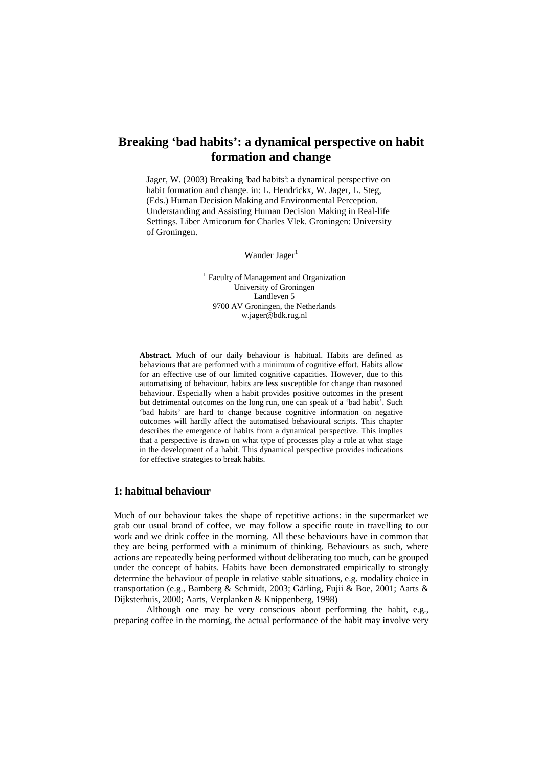# **Breaking 'bad habits': a dynamical perspective on habit formation and change**

Jager, W. (2003) Breaking 'bad habits': a dynamical perspective on habit formation and change. in: L. Hendrickx, W. Jager, L. Steg, (Eds.) Human Decision Making and Environmental Perception. Understanding and Assisting Human Decision Making in Real-life Settings. Liber Amicorum for Charles Vlek. Groningen: University of Groningen.

Wander Jager<sup>1</sup>

<sup>1</sup> Faculty of Management and Organization University of Groningen Landleven 5 9700 AV Groningen, the Netherlands w.jager@bdk.rug.nl

**Abstract.** Much of our daily behaviour is habitual. Habits are defined as behaviours that are performed with a minimum of cognitive effort. Habits allow for an effective use of our limited cognitive capacities. However, due to this automatising of behaviour, habits are less susceptible for change than reasoned behaviour. Especially when a habit provides positive outcomes in the present but detrimental outcomes on the long run, one can speak of a 'bad habit'. Such 'bad habits' are hard to change because cognitive information on negative outcomes will hardly affect the automatised behavioural scripts. This chapter describes the emergence of habits from a dynamical perspective. This implies that a perspective is drawn on what type of processes play a role at what stage in the development of a habit. This dynamical perspective provides indications for effective strategies to break habits.

## **1: habitual behaviour**

Much of our behaviour takes the shape of repetitive actions: in the supermarket we grab our usual brand of coffee, we may follow a specific route in travelling to our work and we drink coffee in the morning. All these behaviours have in common that they are being performed with a minimum of thinking. Behaviours as such, where actions are repeatedly being performed without deliberating too much, can be grouped under the concept of habits. Habits have been demonstrated empirically to strongly determine the behaviour of people in relative stable situations, e.g. modality choice in transportation (e.g., Bamberg & Schmidt, 2003; Gärling, Fujii & Boe, 2001; Aarts & Dijksterhuis, 2000; Aarts, Verplanken & Knippenberg, 1998)

 Although one may be very conscious about performing the habit, e.g., preparing coffee in the morning, the actual performance of the habit may involve very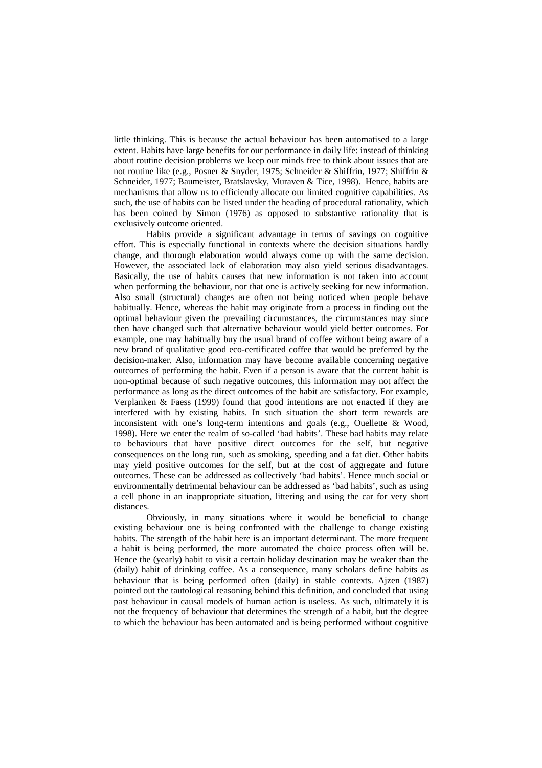little thinking. This is because the actual behaviour has been automatised to a large extent. Habits have large benefits for our performance in daily life: instead of thinking about routine decision problems we keep our minds free to think about issues that are not routine like (e.g., Posner & Snyder, 1975; Schneider & Shiffrin, 1977; Shiffrin & Schneider, 1977; Baumeister, Bratslavsky, Muraven & Tice, 1998). Hence, habits are mechanisms that allow us to efficiently allocate our limited cognitive capabilities. As such, the use of habits can be listed under the heading of procedural rationality, which has been coined by Simon (1976) as opposed to substantive rationality that is exclusively outcome oriented.

 Habits provide a significant advantage in terms of savings on cognitive effort. This is especially functional in contexts where the decision situations hardly change, and thorough elaboration would always come up with the same decision. However, the associated lack of elaboration may also yield serious disadvantages. Basically, the use of habits causes that new information is not taken into account when performing the behaviour, nor that one is actively seeking for new information. Also small (structural) changes are often not being noticed when people behave habitually. Hence, whereas the habit may originate from a process in finding out the optimal behaviour given the prevailing circumstances, the circumstances may since then have changed such that alternative behaviour would yield better outcomes. For example, one may habitually buy the usual brand of coffee without being aware of a new brand of qualitative good eco-certificated coffee that would be preferred by the decision-maker. Also, information may have become available concerning negative outcomes of performing the habit. Even if a person is aware that the current habit is non-optimal because of such negative outcomes, this information may not affect the performance as long as the direct outcomes of the habit are satisfactory. For example, Verplanken & Faess (1999) found that good intentions are not enacted if they are interfered with by existing habits. In such situation the short term rewards are inconsistent with one's long-term intentions and goals (e.g., Ouellette & Wood, 1998). Here we enter the realm of so-called 'bad habits'. These bad habits may relate to behaviours that have positive direct outcomes for the self, but negative consequences on the long run, such as smoking, speeding and a fat diet. Other habits may yield positive outcomes for the self, but at the cost of aggregate and future outcomes. These can be addressed as collectively 'bad habits'. Hence much social or environmentally detrimental behaviour can be addressed as 'bad habits', such as using a cell phone in an inappropriate situation, littering and using the car for very short distances.

 Obviously, in many situations where it would be beneficial to change existing behaviour one is being confronted with the challenge to change existing habits. The strength of the habit here is an important determinant. The more frequent a habit is being performed, the more automated the choice process often will be. Hence the (yearly) habit to visit a certain holiday destination may be weaker than the (daily) habit of drinking coffee. As a consequence, many scholars define habits as behaviour that is being performed often (daily) in stable contexts. Ajzen (1987) pointed out the tautological reasoning behind this definition, and concluded that using past behaviour in causal models of human action is useless. As such, ultimately it is not the frequency of behaviour that determines the strength of a habit, but the degree to which the behaviour has been automated and is being performed without cognitive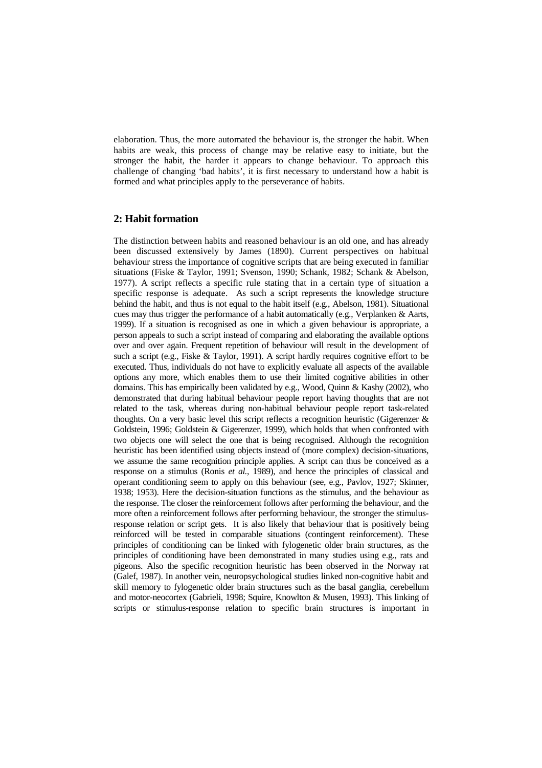elaboration. Thus, the more automated the behaviour is, the stronger the habit. When habits are weak, this process of change may be relative easy to initiate, but the stronger the habit, the harder it appears to change behaviour. To approach this challenge of changing 'bad habits', it is first necessary to understand how a habit is formed and what principles apply to the perseverance of habits.

## **2: Habit formation**

The distinction between habits and reasoned behaviour is an old one, and has already been discussed extensively by James (1890). Current perspectives on habitual behaviour stress the importance of cognitive scripts that are being executed in familiar situations (Fiske & Taylor, 1991; Svenson, 1990; Schank, 1982; Schank & Abelson, 1977). A script reflects a specific rule stating that in a certain type of situation a specific response is adequate. As such a script represents the knowledge structure behind the habit, and thus is not equal to the habit itself (e.g., Abelson, 1981). Situational cues may thus trigger the performance of a habit automatically (e.g., Verplanken & Aarts, 1999). If a situation is recognised as one in which a given behaviour is appropriate, a person appeals to such a script instead of comparing and elaborating the available options over and over again. Frequent repetition of behaviour will result in the development of such a script (e.g., Fiske & Taylor, 1991). A script hardly requires cognitive effort to be executed. Thus, individuals do not have to explicitly evaluate all aspects of the available options any more, which enables them to use their limited cognitive abilities in other domains. This has empirically been validated by e.g., Wood, Quinn & Kashy (2002), who demonstrated that during habitual behaviour people report having thoughts that are not related to the task, whereas during non-habitual behaviour people report task-related thoughts. On a very basic level this script reflects a recognition heuristic (Gigerenzer & Goldstein, 1996; Goldstein & Gigerenzer, 1999), which holds that when confronted with two objects one will select the one that is being recognised. Although the recognition heuristic has been identified using objects instead of (more complex) decision-situations, we assume the same recognition principle applies. A script can thus be conceived as a response on a stimulus (Ronis *et al.*, 1989), and hence the principles of classical and operant conditioning seem to apply on this behaviour (see, e.g., Pavlov, 1927; Skinner, 1938; 1953). Here the decision-situation functions as the stimulus, and the behaviour as the response. The closer the reinforcement follows after performing the behaviour, and the more often a reinforcement follows after performing behaviour, the stronger the stimulusresponse relation or script gets. It is also likely that behaviour that is positively being reinforced will be tested in comparable situations (contingent reinforcement). These principles of conditioning can be linked with fylogenetic older brain structures, as the principles of conditioning have been demonstrated in many studies using e.g., rats and pigeons. Also the specific recognition heuristic has been observed in the Norway rat (Galef, 1987). In another vein, neuropsychological studies linked non-cognitive habit and skill memory to fylogenetic older brain structures such as the basal ganglia, cerebellum and motor-neocortex (Gabrieli, 1998; Squire, Knowlton & Musen, 1993). This linking of scripts or stimulus-response relation to specific brain structures is important in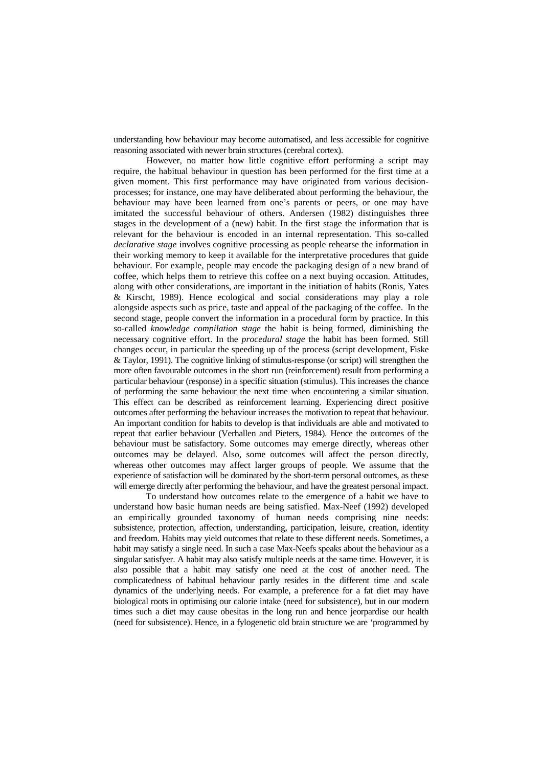understanding how behaviour may become automatised, and less accessible for cognitive reasoning associated with newer brain structures (cerebral cortex).

 However, no matter how little cognitive effort performing a script may require, the habitual behaviour in question has been performed for the first time at a given moment. This first performance may have originated from various decisionprocesses; for instance, one may have deliberated about performing the behaviour, the behaviour may have been learned from one's parents or peers, or one may have imitated the successful behaviour of others. Andersen (1982) distinguishes three stages in the development of a (new) habit. In the first stage the information that is relevant for the behaviour is encoded in an internal representation. This so-called *declarative stage* involves cognitive processing as people rehearse the information in their working memory to keep it available for the interpretative procedures that guide behaviour. For example, people may encode the packaging design of a new brand of coffee, which helps them to retrieve this coffee on a next buying occasion. Attitudes, along with other considerations, are important in the initiation of habits (Ronis, Yates & Kirscht, 1989). Hence ecological and social considerations may play a role alongside aspects such as price, taste and appeal of the packaging of the coffee. In the second stage, people convert the information in a procedural form by practice. In this so-called *knowledge compilation stage* the habit is being formed, diminishing the necessary cognitive effort. In the *procedural stage* the habit has been formed. Still changes occur, in particular the speeding up of the process (script development, Fiske & Taylor, 1991). The cognitive linking of stimulus-response (or script) will strengthen the more often favourable outcomes in the short run (reinforcement) result from performing a particular behaviour (response) in a specific situation (stimulus). This increases the chance of performing the same behaviour the next time when encountering a similar situation. This effect can be described as reinforcement learning. Experiencing direct positive outcomes after performing the behaviour increases the motivation to repeat that behaviour. An important condition for habits to develop is that individuals are able and motivated to repeat that earlier behaviour (Verhallen and Pieters, 1984). Hence the outcomes of the behaviour must be satisfactory. Some outcomes may emerge directly, whereas other outcomes may be delayed. Also, some outcomes will affect the person directly, whereas other outcomes may affect larger groups of people. We assume that the experience of satisfaction will be dominated by the short-term personal outcomes, as these will emerge directly after performing the behaviour, and have the greatest personal impact.

To understand how outcomes relate to the emergence of a habit we have to understand how basic human needs are being satisfied. Max-Neef (1992) developed an empirically grounded taxonomy of human needs comprising nine needs: subsistence, protection, affection, understanding, participation, leisure, creation, identity and freedom. Habits may yield outcomes that relate to these different needs. Sometimes, a habit may satisfy a single need. In such a case Max-Neefs speaks about the behaviour as a singular satisfyer. A habit may also satisfy multiple needs at the same time. However, it is also possible that a habit may satisfy one need at the cost of another need. The complicatedness of habitual behaviour partly resides in the different time and scale dynamics of the underlying needs. For example, a preference for a fat diet may have biological roots in optimising our calorie intake (need for subsistence), but in our modern times such a diet may cause obesitas in the long run and hence jeorpardise our health (need for subsistence). Hence, in a fylogenetic old brain structure we are 'programmed by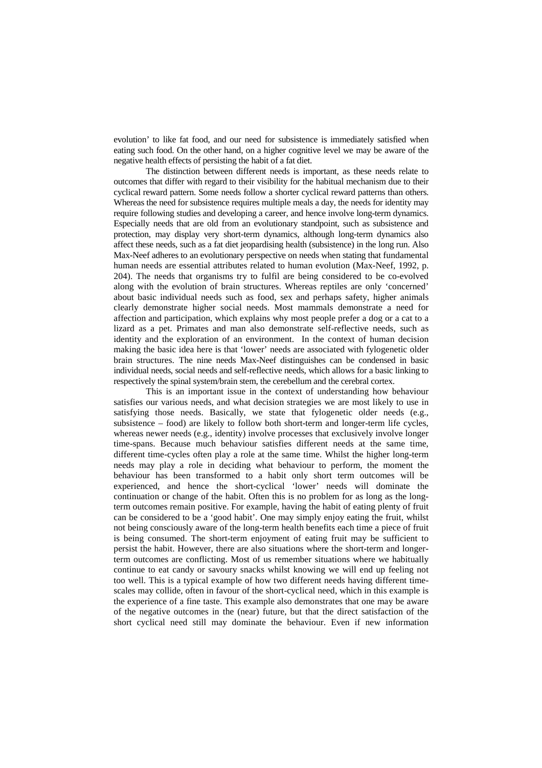evolution' to like fat food, and our need for subsistence is immediately satisfied when eating such food. On the other hand, on a higher cognitive level we may be aware of the negative health effects of persisting the habit of a fat diet.

The distinction between different needs is important, as these needs relate to outcomes that differ with regard to their visibility for the habitual mechanism due to their cyclical reward pattern. Some needs follow a shorter cyclical reward patterns than others. Whereas the need for subsistence requires multiple meals a day, the needs for identity may require following studies and developing a career, and hence involve long-term dynamics. Especially needs that are old from an evolutionary standpoint, such as subsistence and protection, may display very short-term dynamics, although long-term dynamics also affect these needs, such as a fat diet jeopardising health (subsistence) in the long run. Also Max-Neef adheres to an evolutionary perspective on needs when stating that fundamental human needs are essential attributes related to human evolution (Max-Neef, 1992, p. 204). The needs that organisms try to fulfil are being considered to be co-evolved along with the evolution of brain structures. Whereas reptiles are only 'concerned' about basic individual needs such as food, sex and perhaps safety, higher animals clearly demonstrate higher social needs. Most mammals demonstrate a need for affection and participation, which explains why most people prefer a dog or a cat to a lizard as a pet. Primates and man also demonstrate self-reflective needs, such as identity and the exploration of an environment. In the context of human decision making the basic idea here is that 'lower' needs are associated with fylogenetic older brain structures. The nine needs Max-Neef distinguishes can be condensed in basic individual needs, social needs and self-reflective needs, which allows for a basic linking to respectively the spinal system/brain stem, the cerebellum and the cerebral cortex.

This is an important issue in the context of understanding how behaviour satisfies our various needs, and what decision strategies we are most likely to use in satisfying those needs. Basically, we state that fylogenetic older needs (e.g., subsistence – food) are likely to follow both short-term and longer-term life cycles, whereas newer needs (e.g., identity) involve processes that exclusively involve longer time-spans. Because much behaviour satisfies different needs at the same time, different time-cycles often play a role at the same time. Whilst the higher long-term needs may play a role in deciding what behaviour to perform, the moment the behaviour has been transformed to a habit only short term outcomes will be experienced, and hence the short-cyclical 'lower' needs will dominate the continuation or change of the habit. Often this is no problem for as long as the longterm outcomes remain positive. For example, having the habit of eating plenty of fruit can be considered to be a 'good habit'. One may simply enjoy eating the fruit, whilst not being consciously aware of the long-term health benefits each time a piece of fruit is being consumed. The short-term enjoyment of eating fruit may be sufficient to persist the habit. However, there are also situations where the short-term and longerterm outcomes are conflicting. Most of us remember situations where we habitually continue to eat candy or savoury snacks whilst knowing we will end up feeling not too well. This is a typical example of how two different needs having different timescales may collide, often in favour of the short-cyclical need, which in this example is the experience of a fine taste. This example also demonstrates that one may be aware of the negative outcomes in the (near) future, but that the direct satisfaction of the short cyclical need still may dominate the behaviour. Even if new information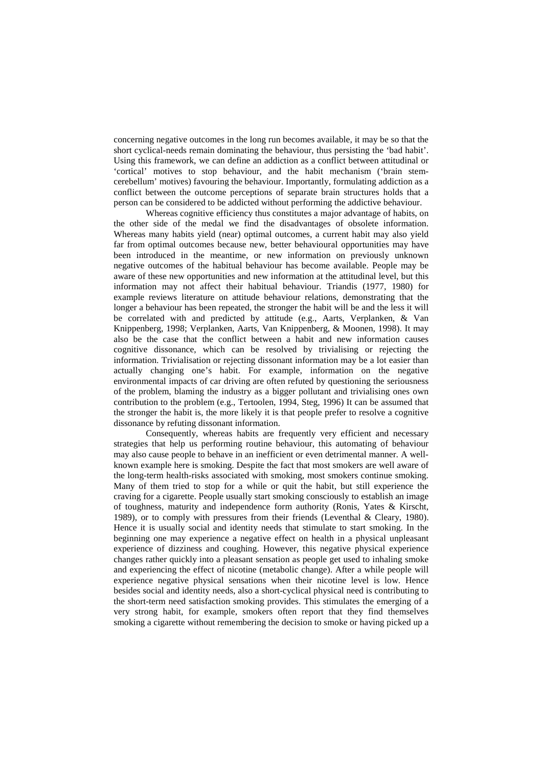concerning negative outcomes in the long run becomes available, it may be so that the short cyclical-needs remain dominating the behaviour, thus persisting the 'bad habit'. Using this framework, we can define an addiction as a conflict between attitudinal or 'cortical' motives to stop behaviour, and the habit mechanism ('brain stemcerebellum' motives) favouring the behaviour. Importantly, formulating addiction as a conflict between the outcome perceptions of separate brain structures holds that a person can be considered to be addicted without performing the addictive behaviour.

Whereas cognitive efficiency thus constitutes a major advantage of habits, on the other side of the medal we find the disadvantages of obsolete information. Whereas many habits yield (near) optimal outcomes, a current habit may also yield far from optimal outcomes because new, better behavioural opportunities may have been introduced in the meantime, or new information on previously unknown negative outcomes of the habitual behaviour has become available. People may be aware of these new opportunities and new information at the attitudinal level, but this information may not affect their habitual behaviour. Triandis (1977, 1980) for example reviews literature on attitude behaviour relations, demonstrating that the longer a behaviour has been repeated, the stronger the habit will be and the less it will be correlated with and predicted by attitude (e.g., Aarts, Verplanken, & Van Knippenberg, 1998; Verplanken, Aarts, Van Knippenberg, & Moonen, 1998). It may also be the case that the conflict between a habit and new information causes cognitive dissonance, which can be resolved by trivialising or rejecting the information. Trivialisation or rejecting dissonant information may be a lot easier than actually changing one's habit. For example, information on the negative environmental impacts of car driving are often refuted by questioning the seriousness of the problem, blaming the industry as a bigger pollutant and trivialising ones own contribution to the problem (e.g., Tertoolen, 1994, Steg, 1996) It can be assumed that the stronger the habit is, the more likely it is that people prefer to resolve a cognitive dissonance by refuting dissonant information.

Consequently, whereas habits are frequently very efficient and necessary strategies that help us performing routine behaviour, this automating of behaviour may also cause people to behave in an inefficient or even detrimental manner. A wellknown example here is smoking. Despite the fact that most smokers are well aware of the long-term health-risks associated with smoking, most smokers continue smoking. Many of them tried to stop for a while or quit the habit, but still experience the craving for a cigarette. People usually start smoking consciously to establish an image of toughness, maturity and independence form authority (Ronis, Yates & Kirscht, 1989), or to comply with pressures from their friends (Leventhal & Cleary, 1980). Hence it is usually social and identity needs that stimulate to start smoking. In the beginning one may experience a negative effect on health in a physical unpleasant experience of dizziness and coughing. However, this negative physical experience changes rather quickly into a pleasant sensation as people get used to inhaling smoke and experiencing the effect of nicotine (metabolic change). After a while people will experience negative physical sensations when their nicotine level is low. Hence besides social and identity needs, also a short-cyclical physical need is contributing to the short-term need satisfaction smoking provides. This stimulates the emerging of a very strong habit, for example, smokers often report that they find themselves smoking a cigarette without remembering the decision to smoke or having picked up a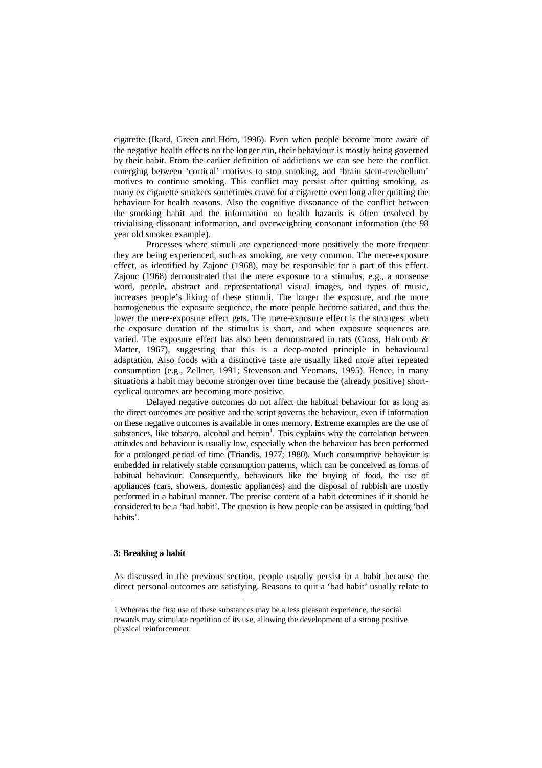cigarette (Ikard, Green and Horn, 1996). Even when people become more aware of the negative health effects on the longer run, their behaviour is mostly being governed by their habit. From the earlier definition of addictions we can see here the conflict emerging between 'cortical' motives to stop smoking, and 'brain stem-cerebellum' motives to continue smoking. This conflict may persist after quitting smoking, as many ex cigarette smokers sometimes crave for a cigarette even long after quitting the behaviour for health reasons. Also the cognitive dissonance of the conflict between the smoking habit and the information on health hazards is often resolved by trivialising dissonant information, and overweighting consonant information (the 98 year old smoker example).

Processes where stimuli are experienced more positively the more frequent they are being experienced, such as smoking, are very common. The mere-exposure effect, as identified by Zajonc (1968), may be responsible for a part of this effect. Zajonc (1968) demonstrated that the mere exposure to a stimulus, e.g., a nonsense word, people, abstract and representational visual images, and types of music, increases people's liking of these stimuli. The longer the exposure, and the more homogeneous the exposure sequence, the more people become satiated, and thus the lower the mere-exposure effect gets. The mere-exposure effect is the strongest when the exposure duration of the stimulus is short, and when exposure sequences are varied. The exposure effect has also been demonstrated in rats (Cross, Halcomb  $\&$ Matter, 1967), suggesting that this is a deep-rooted principle in behavioural adaptation. Also foods with a distinctive taste are usually liked more after repeated consumption (e.g., Zellner, 1991; Stevenson and Yeomans, 1995). Hence, in many situations a habit may become stronger over time because the (already positive) shortcyclical outcomes are becoming more positive.

 Delayed negative outcomes do not affect the habitual behaviour for as long as the direct outcomes are positive and the script governs the behaviour, even if information on these negative outcomes is available in ones memory. Extreme examples are the use of substances, like tobacco, alcohol and heroin<sup>1</sup>. This explains why the correlation between attitudes and behaviour is usually low, especially when the behaviour has been performed for a prolonged period of time (Triandis, 1977; 1980). Much consumptive behaviour is embedded in relatively stable consumption patterns, which can be conceived as forms of habitual behaviour. Consequently, behaviours like the buying of food, the use of appliances (cars, showers, domestic appliances) and the disposal of rubbish are mostly performed in a habitual manner. The precise content of a habit determines if it should be considered to be a 'bad habit'. The question is how people can be assisted in quitting 'bad habits'.

#### **3: Breaking a habit**

 $\overline{a}$ 

As discussed in the previous section, people usually persist in a habit because the direct personal outcomes are satisfying. Reasons to quit a 'bad habit' usually relate to

<sup>1</sup> Whereas the first use of these substances may be a less pleasant experience, the social rewards may stimulate repetition of its use, allowing the development of a strong positive physical reinforcement.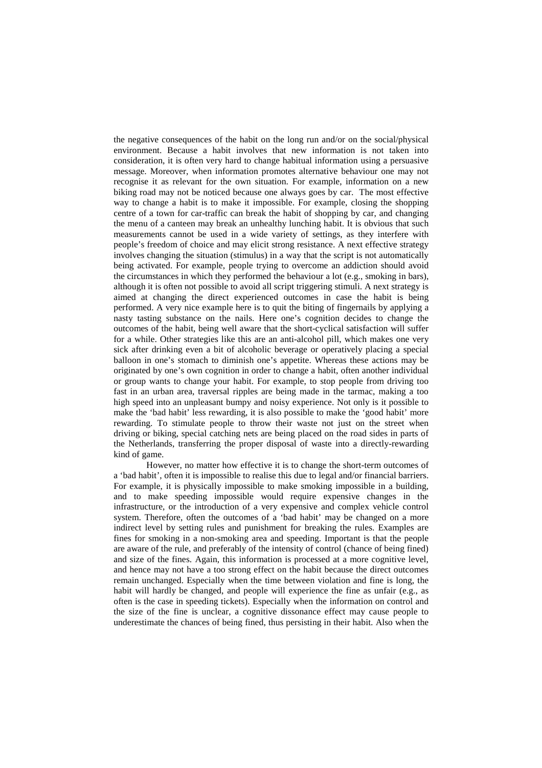the negative consequences of the habit on the long run and/or on the social/physical environment. Because a habit involves that new information is not taken into consideration, it is often very hard to change habitual information using a persuasive message. Moreover, when information promotes alternative behaviour one may not recognise it as relevant for the own situation. For example, information on a new biking road may not be noticed because one always goes by car. The most effective way to change a habit is to make it impossible. For example, closing the shopping centre of a town for car-traffic can break the habit of shopping by car, and changing the menu of a canteen may break an unhealthy lunching habit. It is obvious that such measurements cannot be used in a wide variety of settings, as they interfere with people's freedom of choice and may elicit strong resistance. A next effective strategy involves changing the situation (stimulus) in a way that the script is not automatically being activated. For example, people trying to overcome an addiction should avoid the circumstances in which they performed the behaviour a lot (e.g., smoking in bars), although it is often not possible to avoid all script triggering stimuli. A next strategy is aimed at changing the direct experienced outcomes in case the habit is being performed. A very nice example here is to quit the biting of fingernails by applying a nasty tasting substance on the nails. Here one's cognition decides to change the outcomes of the habit, being well aware that the short-cyclical satisfaction will suffer for a while. Other strategies like this are an anti-alcohol pill, which makes one very sick after drinking even a bit of alcoholic beverage or operatively placing a special balloon in one's stomach to diminish one's appetite. Whereas these actions may be originated by one's own cognition in order to change a habit, often another individual or group wants to change your habit. For example, to stop people from driving too fast in an urban area, traversal ripples are being made in the tarmac, making a too high speed into an unpleasant bumpy and noisy experience. Not only is it possible to make the 'bad habit' less rewarding, it is also possible to make the 'good habit' more rewarding. To stimulate people to throw their waste not just on the street when driving or biking, special catching nets are being placed on the road sides in parts of the Netherlands, transferring the proper disposal of waste into a directly-rewarding kind of game.

 However, no matter how effective it is to change the short-term outcomes of a 'bad habit', often it is impossible to realise this due to legal and/or financial barriers. For example, it is physically impossible to make smoking impossible in a building, and to make speeding impossible would require expensive changes in the infrastructure, or the introduction of a very expensive and complex vehicle control system. Therefore, often the outcomes of a 'bad habit' may be changed on a more indirect level by setting rules and punishment for breaking the rules. Examples are fines for smoking in a non-smoking area and speeding. Important is that the people are aware of the rule, and preferably of the intensity of control (chance of being fined) and size of the fines. Again, this information is processed at a more cognitive level, and hence may not have a too strong effect on the habit because the direct outcomes remain unchanged. Especially when the time between violation and fine is long, the habit will hardly be changed, and people will experience the fine as unfair (e.g., as often is the case in speeding tickets). Especially when the information on control and the size of the fine is unclear, a cognitive dissonance effect may cause people to underestimate the chances of being fined, thus persisting in their habit. Also when the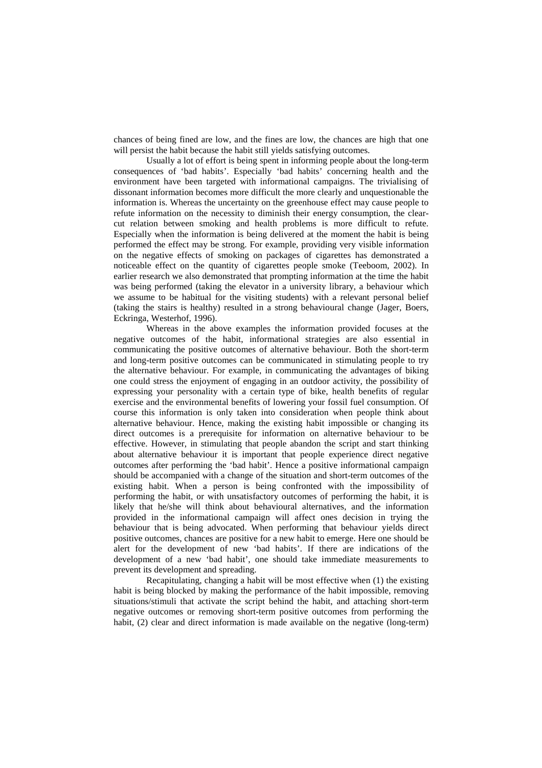chances of being fined are low, and the fines are low, the chances are high that one will persist the habit because the habit still yields satisfying outcomes.

 Usually a lot of effort is being spent in informing people about the long-term consequences of 'bad habits'. Especially 'bad habits' concerning health and the environment have been targeted with informational campaigns. The trivialising of dissonant information becomes more difficult the more clearly and unquestionable the information is. Whereas the uncertainty on the greenhouse effect may cause people to refute information on the necessity to diminish their energy consumption, the clearcut relation between smoking and health problems is more difficult to refute. Especially when the information is being delivered at the moment the habit is being performed the effect may be strong. For example, providing very visible information on the negative effects of smoking on packages of cigarettes has demonstrated a noticeable effect on the quantity of cigarettes people smoke (Teeboom, 2002). In earlier research we also demonstrated that prompting information at the time the habit was being performed (taking the elevator in a university library, a behaviour which we assume to be habitual for the visiting students) with a relevant personal belief (taking the stairs is healthy) resulted in a strong behavioural change (Jager, Boers, Eckringa, Westerhof, 1996).

 Whereas in the above examples the information provided focuses at the negative outcomes of the habit, informational strategies are also essential in communicating the positive outcomes of alternative behaviour. Both the short-term and long-term positive outcomes can be communicated in stimulating people to try the alternative behaviour. For example, in communicating the advantages of biking one could stress the enjoyment of engaging in an outdoor activity, the possibility of expressing your personality with a certain type of bike, health benefits of regular exercise and the environmental benefits of lowering your fossil fuel consumption. Of course this information is only taken into consideration when people think about alternative behaviour. Hence, making the existing habit impossible or changing its direct outcomes is a prerequisite for information on alternative behaviour to be effective. However, in stimulating that people abandon the script and start thinking about alternative behaviour it is important that people experience direct negative outcomes after performing the 'bad habit'. Hence a positive informational campaign should be accompanied with a change of the situation and short-term outcomes of the existing habit. When a person is being confronted with the impossibility of performing the habit, or with unsatisfactory outcomes of performing the habit, it is likely that he/she will think about behavioural alternatives, and the information provided in the informational campaign will affect ones decision in trying the behaviour that is being advocated. When performing that behaviour yields direct positive outcomes, chances are positive for a new habit to emerge. Here one should be alert for the development of new 'bad habits'. If there are indications of the development of a new 'bad habit', one should take immediate measurements to prevent its development and spreading.

 Recapitulating, changing a habit will be most effective when (1) the existing habit is being blocked by making the performance of the habit impossible, removing situations/stimuli that activate the script behind the habit, and attaching short-term negative outcomes or removing short-term positive outcomes from performing the habit, (2) clear and direct information is made available on the negative (long-term)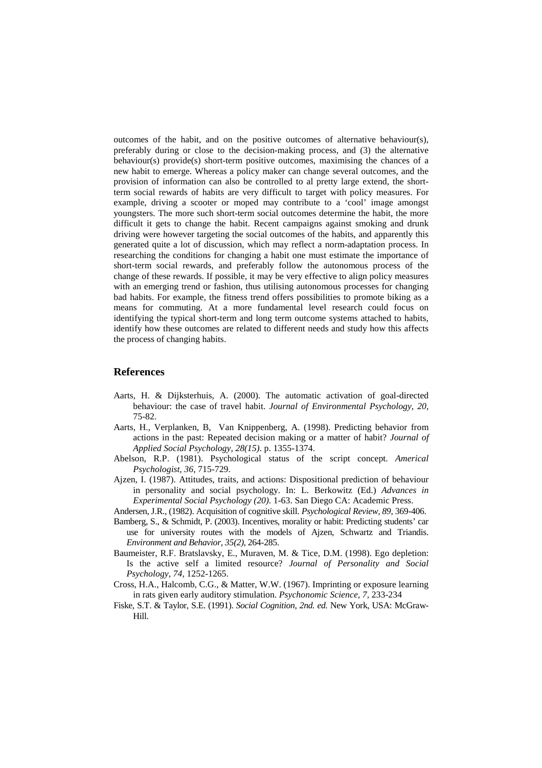outcomes of the habit, and on the positive outcomes of alternative behaviour(s), preferably during or close to the decision-making process, and (3) the alternative behaviour(s) provide(s) short-term positive outcomes, maximising the chances of a new habit to emerge. Whereas a policy maker can change several outcomes, and the provision of information can also be controlled to al pretty large extend, the shortterm social rewards of habits are very difficult to target with policy measures. For example, driving a scooter or moped may contribute to a 'cool' image amongst youngsters. The more such short-term social outcomes determine the habit, the more difficult it gets to change the habit. Recent campaigns against smoking and drunk driving were however targeting the social outcomes of the habits, and apparently this generated quite a lot of discussion, which may reflect a norm-adaptation process. In researching the conditions for changing a habit one must estimate the importance of short-term social rewards, and preferably follow the autonomous process of the change of these rewards. If possible, it may be very effective to align policy measures with an emerging trend or fashion, thus utilising autonomous processes for changing bad habits. For example, the fitness trend offers possibilities to promote biking as a means for commuting. At a more fundamental level research could focus on identifying the typical short-term and long term outcome systems attached to habits, identify how these outcomes are related to different needs and study how this affects the process of changing habits.

### **References**

- Aarts, H. & Dijksterhuis, A. (2000). The automatic activation of goal-directed behaviour: the case of travel habit. *Journal of Environmental Psychology, 20*, 75-82.
- Aarts, H., Verplanken, B, Van Knippenberg, A. (1998). Predicting behavior from actions in the past: Repeated decision making or a matter of habit? *Journal of Applied Social Psychology, 28(15)*. p. 1355-1374.
- Abelson, R.P. (1981). Psychological status of the script concept. *Americal Psychologist, 36*, 715-729.
- Ajzen, I. (1987). Attitudes, traits, and actions: Dispositional prediction of behaviour in personality and social psychology. In: L. Berkowitz (Ed.) *Advances in Experimental Social Psychology (20)*. 1-63. San Diego CA: Academic Press.

Andersen, J.R., (1982). Acquisition of cognitive skill. *Psychological Review, 89*, 369-406.

- Bamberg, S., & Schmidt, P. (2003). Incentives, morality or habit: Predicting students' car use for university routes with the models of Ajzen, Schwartz and Triandis. *Environment and Behavior, 35(2)*, 264-285.
- Baumeister, R.F. Bratslavsky, E., Muraven, M. & Tice, D.M. (1998). Ego depletion: Is the active self a limited resource? *Journal of Personality and Social Psychology, 74*, 1252-1265.
- Cross, H.A., Halcomb, C.G., & Matter, W.W. (1967). Imprinting or exposure learning in rats given early auditory stimulation. *Psychonomic Science, 7,* 233-234
- Fiske, S.T. & Taylor, S.E. (1991). *Social Cognition, 2nd. ed.* New York, USA: McGraw-Hill.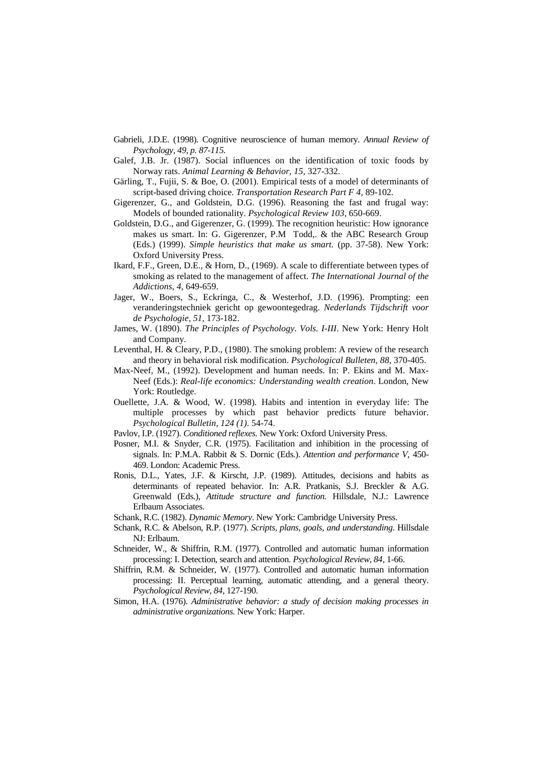- Gabrieli, J.D.E. (1998). Cognitive neuroscience of human memory. *Annual Review of Psychology, 49, p. 87-115.*
- Galef, J.B. Jr. (1987). Social influences on the identification of toxic foods by Norway rats. *Animal Learning & Behavior, 15,* 327-332.
- Gärling, T., Fujii, S. & Boe, O. (2001). Empirical tests of a model of determinants of script-based driving choice. *Transportation Research Part F 4,* 89-102*.*
- Gigerenzer, G., and Goldstein, D.G. (1996). Reasoning the fast and frugal way: Models of bounded rationality. *Psychological Review 103*, 650-669.
- Goldstein, D.G., and Gigerenzer, G. (1999). The recognition heuristic: How ignorance makes us smart. In: G. Gigerenzer, P.M Todd,. & the ABC Research Group (Eds.) (1999). *Simple heuristics that make us smart.* (pp. 37-58). New York: Oxford University Press.
- Ikard, F.F., Green, D.E., & Horn, D., (1969). A scale to differentiate between types of smoking as related to the management of affect. *The International Journal of the Addictions, 4*, 649-659.
- Jager, W., Boers, S., Eckringa, C., & Westerhof, J.D. (1996). Prompting: een veranderingstechniek gericht op gewoontegedrag. *Nederlands Tijdschrift voor de Psychologie, 51*, 173-182.
- James, W. (1890). *The Principles of Psychology*. *Vols. I-III*. New York: Henry Holt and Company.
- Leventhal, H. & Cleary, P.D., (1980). The smoking problem: A review of the research and theory in behavioral risk modification. *Psychological Bulleten, 88*, 370-405.
- Max-Neef, M., (1992). Development and human needs. In: P. Ekins and M. Max-Neef (Eds.): *Real-life economics: Understanding wealth creation*. London, New York: Routledge.
- Ouellette, J.A. & Wood, W. (1998). Habits and intention in everyday life: The multiple processes by which past behavior predicts future behavior. *Psychological Bulletin, 124 (1)*. 54-74.
- Pavlov, I.P. (1927). *Conditioned reflexes.* New York: Oxford University Press.
- Posner, M.I. & Snyder, C.R. (1975). Facilitation and inhibition in the processing of signals. In: P.M.A. Rabbit & S. Dornic (Eds.). *Attention and performance V*, 450- 469. London: Academic Press.
- Ronis, D.L., Yates, J.F. & Kirscht, J.P. (1989). Attitudes, decisions and habits as determinants of repeated behavior. In: A.R. Pratkanis, S.J. Breckler & A.G. Greenwald (Eds.), *Attitude structure and function.* Hillsdale, N.J.: Lawrence Erlbaum Associates.
- Schank, R.C. (1982). *Dynamic Memory*. New York: Cambridge University Press.
- Schank, R.C. & Abelson, R.P. (1977). *Scripts, plans, goals, and understanding*. Hillsdale NJ: Erlbaum.
- Schneider, W., & Shiffrin, R.M. (1977). Controlled and automatic human information processing: I. Detection, search and attention. *Psychological Review, 84*, 1-66.
- Shiffrin, R.M. & Schneider, W. (1977). Controlled and automatic human information processing: II. Perceptual learning, automatic attending, and a general theory. *Psychological Review, 84*, 127-190.
- Simon, H.A. (1976). *Administrative behavior: a study of decision making processes in administrative organizations.* New York: Harper.